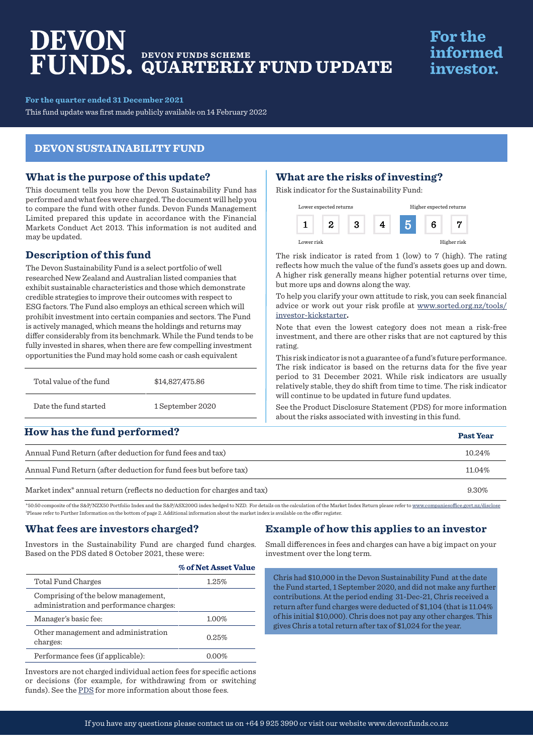# DEVON **DEVON FUNDS SCHEME QUARTERLY FUND UPDATE**

## **For the** informed investor.

**For the quarter ended 31 December 2021**

This fund update was first made publicly available on 14 February 2022

#### **DEVON SUSTAINABILITY FUND**

#### **What is the purpose of this update?**

This document tells you how the Devon Sustainability Fund has performed and what fees were charged. The document will help you to compare the fund with other funds. Devon Funds Management Limited prepared this update in accordance with the Financial Markets Conduct Act 2013. This information is not audited and may be updated.

#### **Description of this fund**

The Devon Sustainability Fund is a select portfolio of well researched New Zealand and Australian listed companies that exhibit sustainable characteristics and those which demonstrate credible strategies to improve their outcomes with respect to ESG factors. The Fund also employs an ethical screen which will prohibit investment into certain companies and sectors. The Fund is actively managed, which means the holdings and returns may differ considerably from its benchmark. While the Fund tends to be fully invested in shares, when there are few compelling investment opportunities the Fund may hold some cash or cash equivalent

| Total value of the fund | \$14,827,475.86  |  |
|-------------------------|------------------|--|
| Date the fund started   | 1 September 2020 |  |

### **How has the fund performed?**

#### **What are the risks of investing?**

Risk indicator for the Sustainability Fund:

|            | Lower expected returns |   |  | Higher expected returns |             |
|------------|------------------------|---|--|-------------------------|-------------|
|            |                        | x |  | fi                      |             |
| Lower risk |                        |   |  |                         | Higher risk |

The risk indicator is rated from 1 (low) to 7 (high). The rating reflects how much the value of the fund's assets goes up and down. A higher risk generally means higher potential returns over time, but more ups and downs along the way.

To help you clarify your own attitude to risk, you can seek financial advice or work out your risk profile at [www.sorted.org.nz/tools/](http://www.sorted.org.nz/tools/investor-kickstarter) [investor-kickstarter](http://www.sorted.org.nz/tools/investor-kickstarter)**.**

Note that even the lowest category does not mean a risk-free investment, and there are other risks that are not captured by this rating.

This risk indicator is not a guarantee of a fund's future performance. The risk indicator is based on the returns data for the five year period to 31 December 2021. While risk indicators are usually relatively stable, they do shift from time to time. The risk indicator will continue to be updated in future fund updates.

See the [Product Disclosure Statement \(PDS\)](https://devonfunds.co.nz/sites/default/files/Devon%20Investment%20Funds%20Product%20Disclosure%20Statement.pdf) for more information about the risks associated with investing in this fund.

| <u>ITOW has the fund performed:</u>                                                 | <b>Past Year</b> |
|-------------------------------------------------------------------------------------|------------------|
| Annual Fund Return (after deduction for fund fees and tax)                          | 10.24%           |
| Annual Fund Return (after deduction for fund fees but before tax)                   | 11.04%           |
| Market index <sup>*</sup> annual return (reflects no deduction for charges and tax) | 9.30%            |

\*50:50 composite of the S&P/NZX50 Portfolio Index and the S&P/ASX200G index hedged to NZD. For details on the calculation of the Market Index Return please refer to www.companiesoffice.govt.nz/disclose 1 Please refer to Further Information on the bottom of page 2. Additional information about the market index is available on the offer register.

#### **What fees are investors charged?**

Investors in the Sustainability Fund are charged fund charges. Based on the PDS dated 8 October 2021, these were:

|                                                                                | % of Net Asset Value |
|--------------------------------------------------------------------------------|----------------------|
| Total Fund Charges                                                             | 1.25%                |
| Comprising of the below management.<br>administration and performance charges: |                      |
| Manager's basic fee:                                                           | 1.00%                |
| Other management and administration<br>charges:                                | 0.25%                |
| Performance fees (if applicable):                                              | $0.00\%$             |
|                                                                                |                      |

Investors are not charged individual action fees for specific actions or decisions (for example, for withdrawing from or switching funds). See the [PDS](https://devonfunds.co.nz/sites/default/files/Devon%20Investment%20Funds%20Product%20Disclosure%20Statement.pdf) for more information about those fees.

#### **Example of how this applies to an investor**

Small differences in fees and charges can have a big impact on your investment over the long term.

Chris had \$10,000 in the Devon Sustainability Fund at the date the Fund started, 1 September 2020, and did not make any further contributions. At the period ending 31-Dec-21, Chris received a return after fund charges were deducted of \$1,104 (that is 11.04% of his initial \$10,000). Chris does not pay any other charges. This gives Chris a total return after tax of \$1,024 for the year.